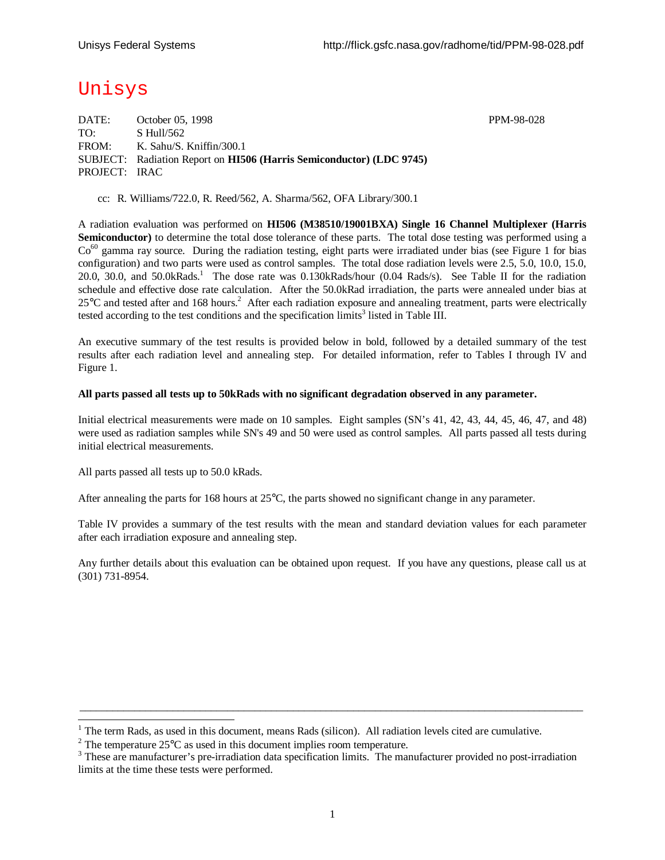# Unisys

DATE: October 05, 1998 PPM-98-028 TO: S Hull/562 FROM: K. Sahu/S. Kniffin/300.1 SUBJECT: Radiation Report on **HI506 (Harris Semiconductor) (LDC 9745)** PROJECT: IRAC

cc: R. Williams/722.0, R. Reed/562, A. Sharma/562, OFA Library/300.1

A radiation evaluation was performed on **HI506 (M38510/19001BXA) Single 16 Channel Multiplexer (Harris Semiconductor**) to determine the total dose tolerance of these parts. The total dose testing was performed using a  $Co<sup>60</sup>$  gamma ray source. During the radiation testing, eight parts were irradiated under bias (see Figure 1 for bias configuration) and two parts were used as control samples. The total dose radiation levels were 2.5, 5.0, 10.0, 15.0, 20.0, 30.0, and 50.0kRads.<sup>1</sup> The dose rate was 0.130kRads/hour (0.04 Rads/s). See Table II for the radiation schedule and effective dose rate calculation. After the 50.0kRad irradiation, the parts were annealed under bias at  $25^{\circ}$ C and tested after and 168 hours.<sup>2</sup> After each radiation exposure and annealing treatment, parts were electrically tested according to the test conditions and the specification  $\lim$ its<sup>3</sup> listed in Table III.

An executive summary of the test results is provided below in bold, followed by a detailed summary of the test results after each radiation level and annealing step. For detailed information, refer to Tables I through IV and Figure 1.

#### **All parts passed all tests up to 50kRads with no significant degradation observed in any parameter.**

Initial electrical measurements were made on 10 samples. Eight samples (SN's 41, 42, 43, 44, 45, 46, 47, and 48) were used as radiation samples while SN's 49 and 50 were used as control samples. All parts passed all tests during initial electrical measurements.

All parts passed all tests up to 50.0 kRads.

l

After annealing the parts for 168 hours at 25°C, the parts showed no significant change in any parameter.

Table IV provides a summary of the test results with the mean and standard deviation values for each parameter after each irradiation exposure and annealing step.

Any further details about this evaluation can be obtained upon request. If you have any questions, please call us at (301) 731-8954.

 $\_$  ,  $\_$  ,  $\_$  ,  $\_$  ,  $\_$  ,  $\_$  ,  $\_$  ,  $\_$  ,  $\_$  ,  $\_$  ,  $\_$  ,  $\_$  ,  $\_$  ,  $\_$  ,  $\_$  ,  $\_$  ,  $\_$  ,  $\_$  ,  $\_$  ,  $\_$  ,  $\_$  ,  $\_$  ,  $\_$  ,  $\_$  ,  $\_$  ,  $\_$  ,  $\_$  ,  $\_$  ,  $\_$  ,  $\_$  ,  $\_$  ,  $\_$  ,  $\_$  ,  $\_$  ,  $\_$  ,  $\_$  ,  $\_$  ,

 $1$  The term Rads, as used in this document, means Rads (silicon). All radiation levels cited are cumulative.

<sup>&</sup>lt;sup>2</sup> The temperature 25 $^{\circ}$ C as used in this document implies room temperature.

<sup>&</sup>lt;sup>3</sup> These are manufacturer's pre-irradiation data specification limits. The manufacturer provided no post-irradiation limits at the time these tests were performed.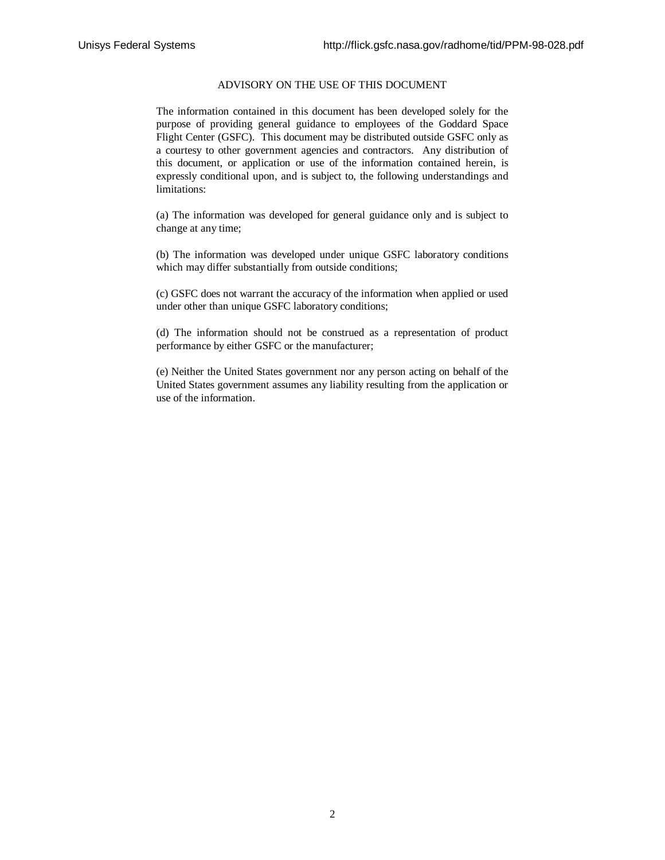#### ADVISORY ON THE USE OF THIS DOCUMENT

The information contained in this document has been developed solely for the purpose of providing general guidance to employees of the Goddard Space Flight Center (GSFC). This document may be distributed outside GSFC only as a courtesy to other government agencies and contractors. Any distribution of this document, or application or use of the information contained herein, is expressly conditional upon, and is subject to, the following understandings and limitations:

(a) The information was developed for general guidance only and is subject to change at any time;

(b) The information was developed under unique GSFC laboratory conditions which may differ substantially from outside conditions;

(c) GSFC does not warrant the accuracy of the information when applied or used under other than unique GSFC laboratory conditions;

(d) The information should not be construed as a representation of product performance by either GSFC or the manufacturer;

(e) Neither the United States government nor any person acting on behalf of the United States government assumes any liability resulting from the application or use of the information.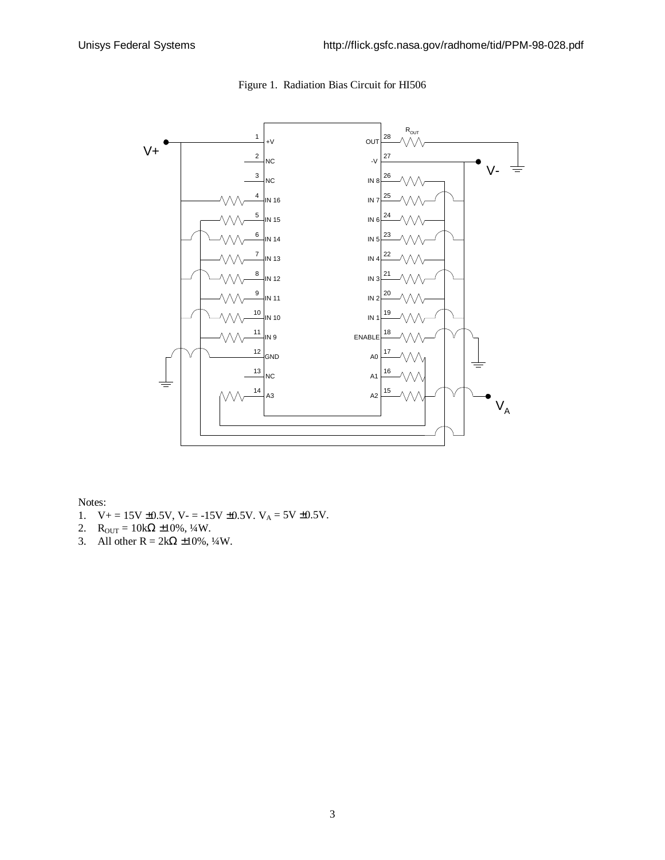

## Figure 1. Radiation Bias Circuit for HI506

Notes:

- 1.  $V_+ = 15V \pm 0.5V$ ,  $V_- = -15V \pm 0.5V$ .  $V_A = 5V \pm 0.5V$ .
- 2.  $R_{OUT} = 10k\Omega \pm 10\%, \frac{1}{4}W$ .
- 3. All other R =  $2k\Omega \pm 10\%$ ,  $\frac{1}{4}W$ .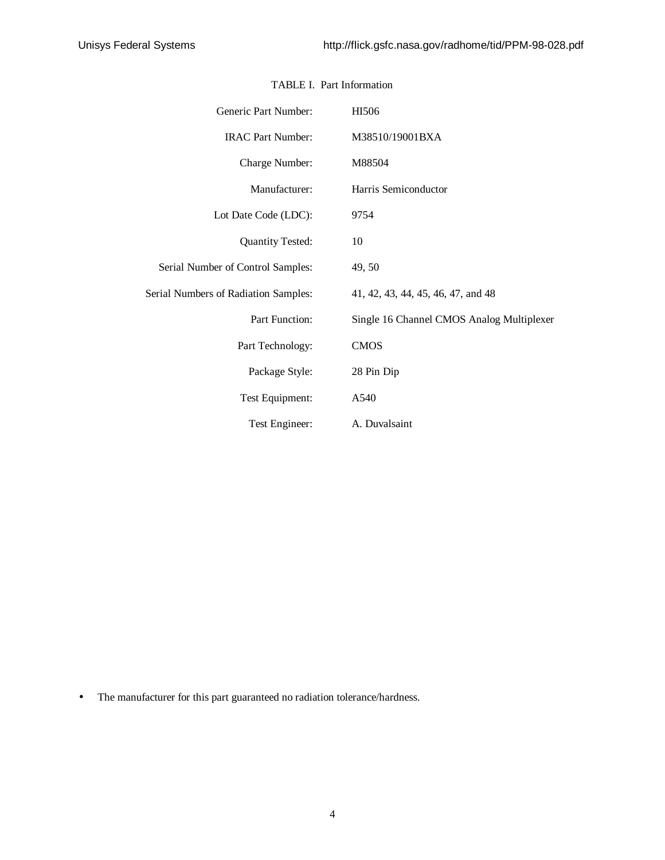| Generic Part Number:                 | HI506                                     |  |  |  |  |  |  |
|--------------------------------------|-------------------------------------------|--|--|--|--|--|--|
| <b>IRAC Part Number:</b>             | M38510/19001BXA                           |  |  |  |  |  |  |
| Charge Number:                       | M88504                                    |  |  |  |  |  |  |
| Manufacturer:                        | Harris Semiconductor                      |  |  |  |  |  |  |
| Lot Date Code (LDC):                 | 9754                                      |  |  |  |  |  |  |
| <b>Quantity Tested:</b>              | 10                                        |  |  |  |  |  |  |
| Serial Number of Control Samples:    | 49, 50                                    |  |  |  |  |  |  |
| Serial Numbers of Radiation Samples: | 41, 42, 43, 44, 45, 46, 47, and 48        |  |  |  |  |  |  |
| Part Function:                       | Single 16 Channel CMOS Analog Multiplexer |  |  |  |  |  |  |
| Part Technology:                     | <b>CMOS</b>                               |  |  |  |  |  |  |
| Package Style:                       | 28 Pin Dip                                |  |  |  |  |  |  |
| Test Equipment:                      | A540                                      |  |  |  |  |  |  |
| Test Engineer:                       | A. Duvalsaint                             |  |  |  |  |  |  |

### TABLE I. Part Information

• The manufacturer for this part guaranteed no radiation tolerance/hardness.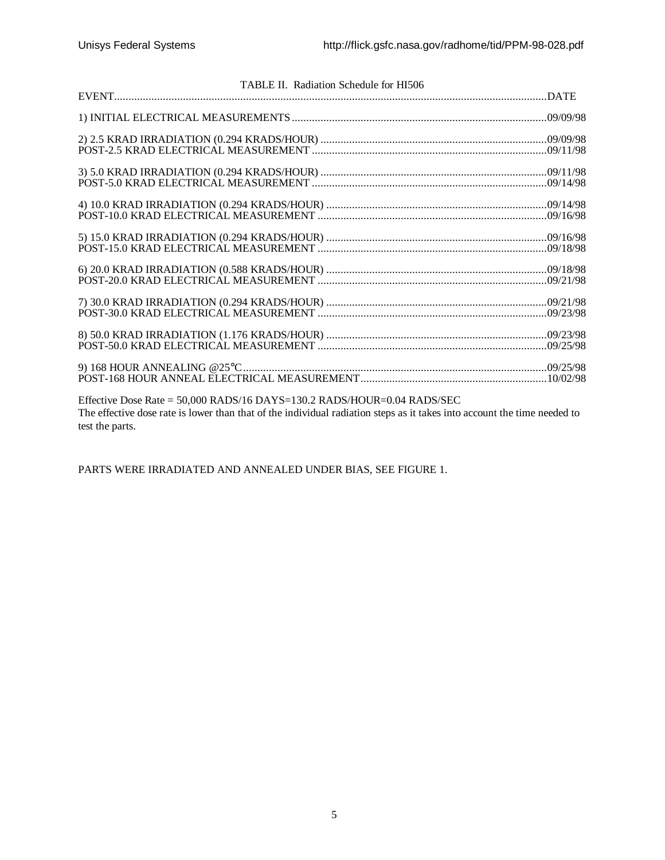| TABLE II. Radiation Schedule for HI506                                                                                   |  |
|--------------------------------------------------------------------------------------------------------------------------|--|
|                                                                                                                          |  |
|                                                                                                                          |  |
|                                                                                                                          |  |
|                                                                                                                          |  |
|                                                                                                                          |  |
|                                                                                                                          |  |
|                                                                                                                          |  |
|                                                                                                                          |  |
|                                                                                                                          |  |
|                                                                                                                          |  |
|                                                                                                                          |  |
|                                                                                                                          |  |
|                                                                                                                          |  |
|                                                                                                                          |  |
|                                                                                                                          |  |
|                                                                                                                          |  |
|                                                                                                                          |  |
|                                                                                                                          |  |
|                                                                                                                          |  |
|                                                                                                                          |  |
|                                                                                                                          |  |
|                                                                                                                          |  |
|                                                                                                                          |  |
|                                                                                                                          |  |
|                                                                                                                          |  |
| Effective Dose Rate = 50,000 RADS/16 DAYS=130.2 RADS/HOUR=0.04 RADS/SEC                                                  |  |
|                                                                                                                          |  |
| The effective dose rate is lower than that of the individual radiation steps as it takes into account the time needed to |  |
| test the parts.                                                                                                          |  |

PARTS WERE IRRADIATED AND ANNEALED UNDER BIAS, SEE FIGURE 1.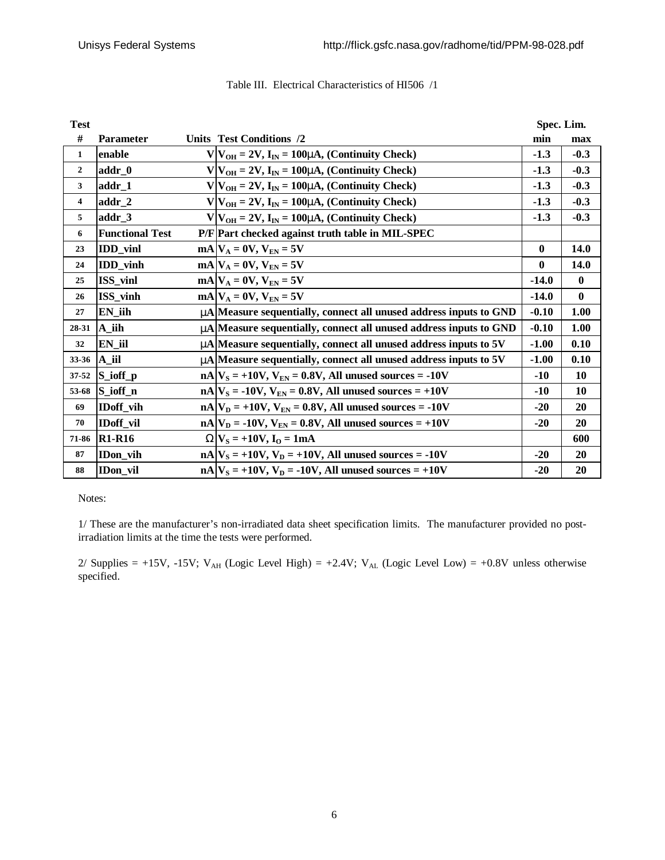| <b>Test</b>  |                        |                                                                           | Spec. Lim. |              |
|--------------|------------------------|---------------------------------------------------------------------------|------------|--------------|
| #            | <b>Parameter</b>       | Units Test Conditions /2                                                  | min        | max          |
| $\mathbf{1}$ | enable                 | $V V_{OH} = 2V$ , $I_{IN} = 100$ mA, (Continuity Check)                   | $-1.3$     | $-0.3$       |
| $\mathbf{2}$ | addr_0                 | $V V_{OH} = 2V$ , $I_{IN} = 100$ mA, (Continuity Check)                   | $-1.3$     | $-0.3$       |
| 3            | $addr_1$               | $V V_{OH} = 2V$ , $I_{IN} = 100$ mA, (Continuity Check)                   | $-1.3$     | $-0.3$       |
| 4            | $addr_2$               | $V V_{OH} = 2V$ , $I_{IN} = 100$ mA, (Continuity Check)                   | $-1.3$     | $-0.3$       |
| 5            | addr 3                 | $V V_{OH} = 2V$ , $I_{IN} = 100$ mA, (Continuity Check)                   | $-1.3$     | $-0.3$       |
| 6            | <b>Functional Test</b> | P/F Part checked against truth table in MIL-SPEC                          |            |              |
| 23           | <b>IDD</b> vinl        | $mA V_A = 0V, V_{EN} = 5V$                                                | $\bf{0}$   | 14.0         |
| 24           | <b>IDD_vinh</b>        | $mA V_A = 0V, V_{EN} = 5V$                                                | $\bf{0}$   | 14.0         |
| 25           | ISS_vinl               | $mA V_A = 0V, V_{EN} = 5V$                                                | $-14.0$    | $\mathbf{0}$ |
| 26           | ISS_vinh               | $mA V_A = 0V, V_{EN} = 5V$                                                | $-14.0$    | $\mathbf{0}$ |
| 27           | $EN$ _iih              | mA Measure sequentially, connect all unused address inputs to GND         | $-0.10$    | 1.00         |
| 28-31        | A_iih                  | <b>m</b> A Measure sequentially, connect all unused address inputs to GND | $-0.10$    | 1.00         |
| 32           | EN_iil                 | <b>m</b> A Measure sequentially, connect all unused address inputs to 5V  | $-1.00$    | 0.10         |
| 33-36        | A iil                  | mA Measure sequentially, connect all unused address inputs to 5V          | $-1.00$    | 0.10         |
| 37-52        | S_ioff_p               | $nA V_s = +10V$ , $V_{EN} = 0.8V$ , All unused sources = -10V             | $-10$      | 10           |
| 53-68        | S_ioff_n               | $nA V_s = -10V, V_{EN} = 0.8V, All unused sources = +10V$                 | $-10$      | 10           |
| 69           | IDoff_vih              | $nA V_D = +10V$ , $V_{EN} = 0.8V$ , All unused sources = -10V             | $-20$      | 20           |
| 70           | <b>IDoff</b> vil       | $nA V_D = -10V$ , $V_{EN} = 0.8V$ , All unused sources = +10V             | $-20$      | 20           |
| 71-86        | <b>R1-R16</b>          | $WV_S = +10V, I_O = 1mA$                                                  |            | 600          |
| 87           | <b>IDon</b> vih        | $nA V_s = +10V, V_D = +10V, All unused sources = -10V$                    | $-20$      | 20           |
| 88           | IDon_vil               | $nA V_s = +10V$ , $V_p = -10V$ , All unused sources = +10V                | $-20$      | 20           |

## Table III. Electrical Characteristics of HI506 /1

Notes:

1/ These are the manufacturer's non-irradiated data sheet specification limits. The manufacturer provided no postirradiation limits at the time the tests were performed.

2/ Supplies = +15V, -15V; V<sub>AH</sub> (Logic Level High) = +2.4V; V<sub>AL</sub> (Logic Level Low) = +0.8V unless otherwise specified.